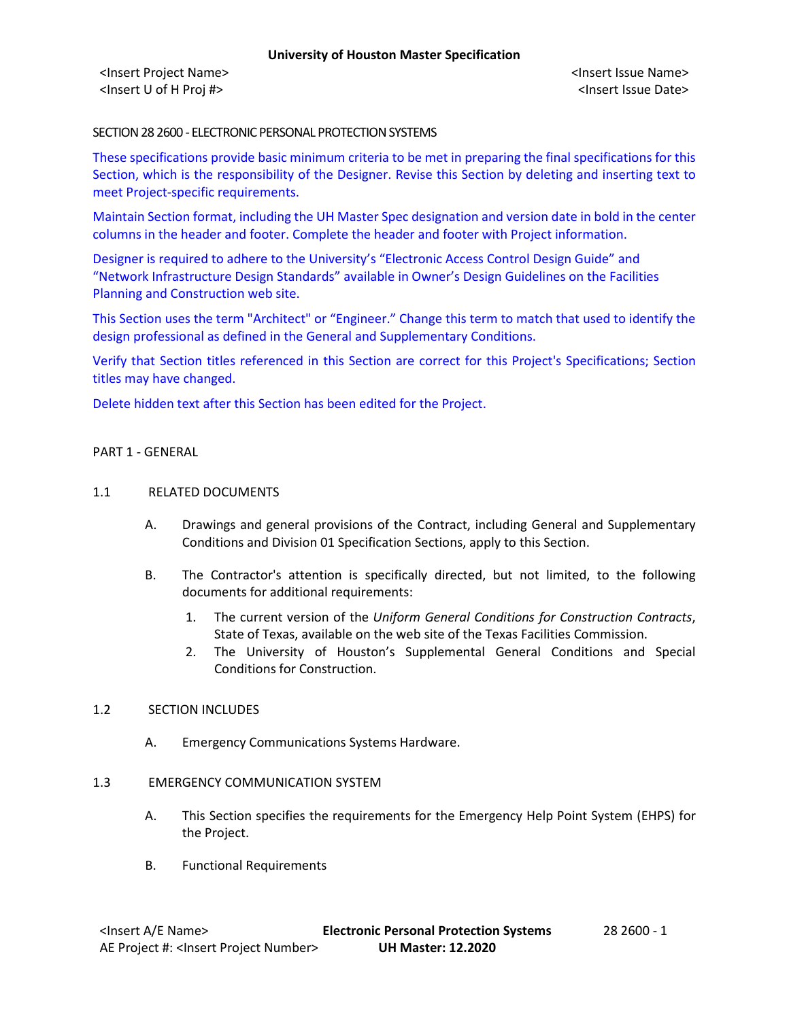<Insert Project Name> <Insert Issue Name> <Insert U of H Proj #> <Insert Issue Date>

## SECTION 28 2600 - ELECTRONIC PERSONAL PROTECTION SYSTEMS

These specifications provide basic minimum criteria to be met in preparing the final specifications for this Section, which is the responsibility of the Designer. Revise this Section by deleting and inserting text to meet Project-specific requirements.

Maintain Section format, including the UH Master Spec designation and version date in bold in the center columns in the header and footer. Complete the header and footer with Project information.

Designer is required to adhere to the University's "Electronic Access Control Design Guide" and "Network Infrastructure Design Standards" available in Owner's Design Guidelines on the Facilities Planning and Construction web site.

This Section uses the term "Architect" or "Engineer." Change this term to match that used to identify the design professional as defined in the General and Supplementary Conditions.

Verify that Section titles referenced in this Section are correct for this Project's Specifications; Section titles may have changed.

Delete hidden text after this Section has been edited for the Project.

### PART 1 - GENERAL

### 1.1 RELATED DOCUMENTS

- A. Drawings and general provisions of the Contract, including General and Supplementary Conditions and Division 01 Specification Sections, apply to this Section.
- B. The Contractor's attention is specifically directed, but not limited, to the following documents for additional requirements:
	- 1. The current version of the *Uniform General Conditions for Construction Contracts*, State of Texas, available on the web site of the Texas Facilities Commission.
	- 2. The University of Houston's Supplemental General Conditions and Special Conditions for Construction.

# 1.2 SECTION INCLUDES

A. Emergency Communications Systems Hardware.

### 1.3 EMERGENCY COMMUNICATION SYSTEM

- A. This Section specifies the requirements for the Emergency Help Point System (EHPS) for the Project.
- B. Functional Requirements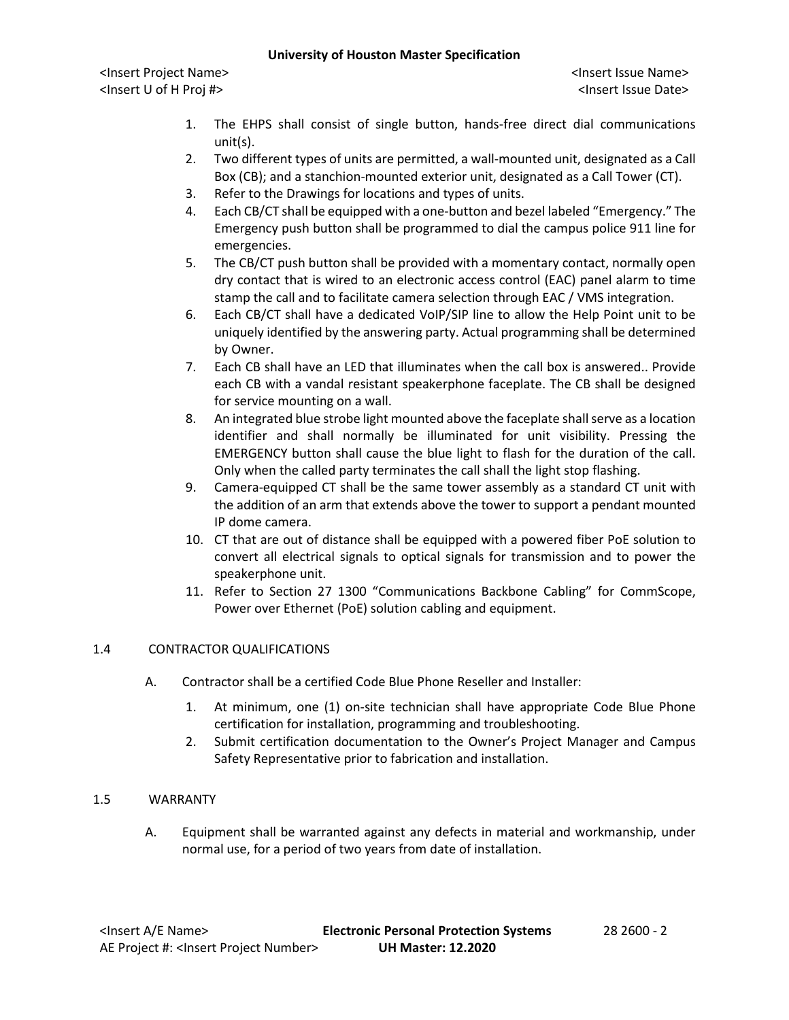# **University of Houston Master Specification**

<Insert Project Name> <Insert Issue Name> <Insert U of H Proj #> <Insert Issue Date>

- 1. The EHPS shall consist of single button, hands-free direct dial communications unit(s).
- 2. Two different types of units are permitted, a wall-mounted unit, designated as a Call Box (CB); and a stanchion-mounted exterior unit, designated as a Call Tower (CT).
- 3. Refer to the Drawings for locations and types of units.
- 4. Each CB/CT shall be equipped with a one-button and bezel labeled "Emergency." The Emergency push button shall be programmed to dial the campus police 911 line for emergencies.
- 5. The CB/CT push button shall be provided with a momentary contact, normally open dry contact that is wired to an electronic access control (EAC) panel alarm to time stamp the call and to facilitate camera selection through EAC / VMS integration.
- 6. Each CB/CT shall have a dedicated VoIP/SIP line to allow the Help Point unit to be uniquely identified by the answering party. Actual programming shall be determined by Owner.
- 7. Each CB shall have an LED that illuminates when the call box is answered.. Provide each CB with a vandal resistant speakerphone faceplate. The CB shall be designed for service mounting on a wall.
- 8. An integrated blue strobe light mounted above the faceplate shall serve as a location identifier and shall normally be illuminated for unit visibility. Pressing the EMERGENCY button shall cause the blue light to flash for the duration of the call. Only when the called party terminates the call shall the light stop flashing.
- 9. Camera-equipped CT shall be the same tower assembly as a standard CT unit with the addition of an arm that extends above the tower to support a pendant mounted IP dome camera.
- 10. CT that are out of distance shall be equipped with a powered fiber PoE solution to convert all electrical signals to optical signals for transmission and to power the speakerphone unit.
- 11. Refer to Section 27 1300 "Communications Backbone Cabling" for CommScope, Power over Ethernet (PoE) solution cabling and equipment.

# 1.4 CONTRACTOR QUALIFICATIONS

- A. Contractor shall be a certified Code Blue Phone Reseller and Installer:
	- 1. At minimum, one (1) on-site technician shall have appropriate Code Blue Phone certification for installation, programming and troubleshooting.
	- 2. Submit certification documentation to the Owner's Project Manager and Campus Safety Representative prior to fabrication and installation.

# 1.5 WARRANTY

A. Equipment shall be warranted against any defects in material and workmanship, under normal use, for a period of two years from date of installation.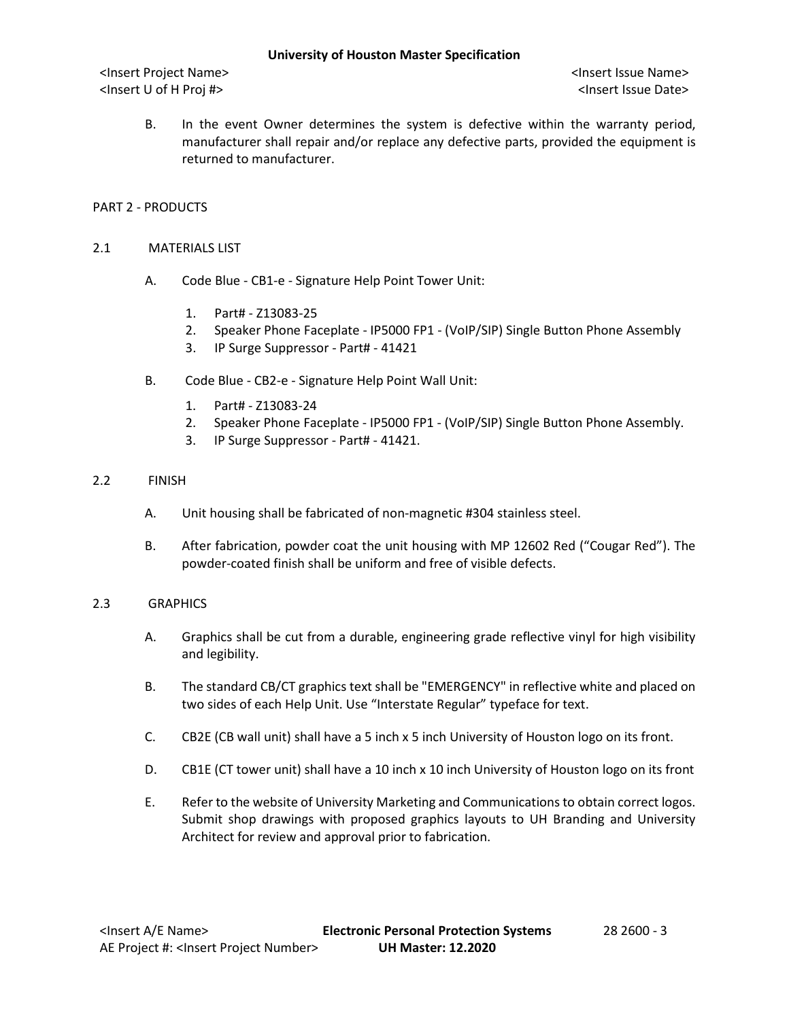<Insert Project Name> <Insert Issue Name> <Insert U of H Proj #> <Insert Issue Date>

B. In the event Owner determines the system is defective within the warranty period, manufacturer shall repair and/or replace any defective parts, provided the equipment is returned to manufacturer.

# PART 2 - PRODUCTS

### 2.1 MATERIALS LIST

- A. Code Blue CB1-e Signature Help Point Tower Unit:
	- 1. Part# Z13083-25
	- 2. Speaker Phone Faceplate IP5000 FP1 (VoIP/SIP) Single Button Phone Assembly
	- 3. IP Surge Suppressor Part# 41421
- B. Code Blue CB2-e Signature Help Point Wall Unit:
	- 1. Part# Z13083-24
	- 2. Speaker Phone Faceplate IP5000 FP1 (VoIP/SIP) Single Button Phone Assembly.
	- 3. IP Surge Suppressor Part# 41421.

# 2.2 FINISH

- A. Unit housing shall be fabricated of non-magnetic #304 stainless steel.
- B. After fabrication, powder coat the unit housing with MP 12602 Red ("Cougar Red"). The powder-coated finish shall be uniform and free of visible defects.

# 2.3 GRAPHICS

- A. Graphics shall be cut from a durable, engineering grade reflective vinyl for high visibility and legibility.
- B. The standard CB/CT graphics text shall be "EMERGENCY" in reflective white and placed on two sides of each Help Unit. Use "Interstate Regular" typeface for text.
- C. CB2E (CB wall unit) shall have a 5 inch x 5 inch University of Houston logo on its front.
- D. CB1E (CT tower unit) shall have a 10 inch x 10 inch University of Houston logo on its front
- E. Refer to the website of University Marketing and Communications to obtain correct logos. Submit shop drawings with proposed graphics layouts to UH Branding and University Architect for review and approval prior to fabrication.